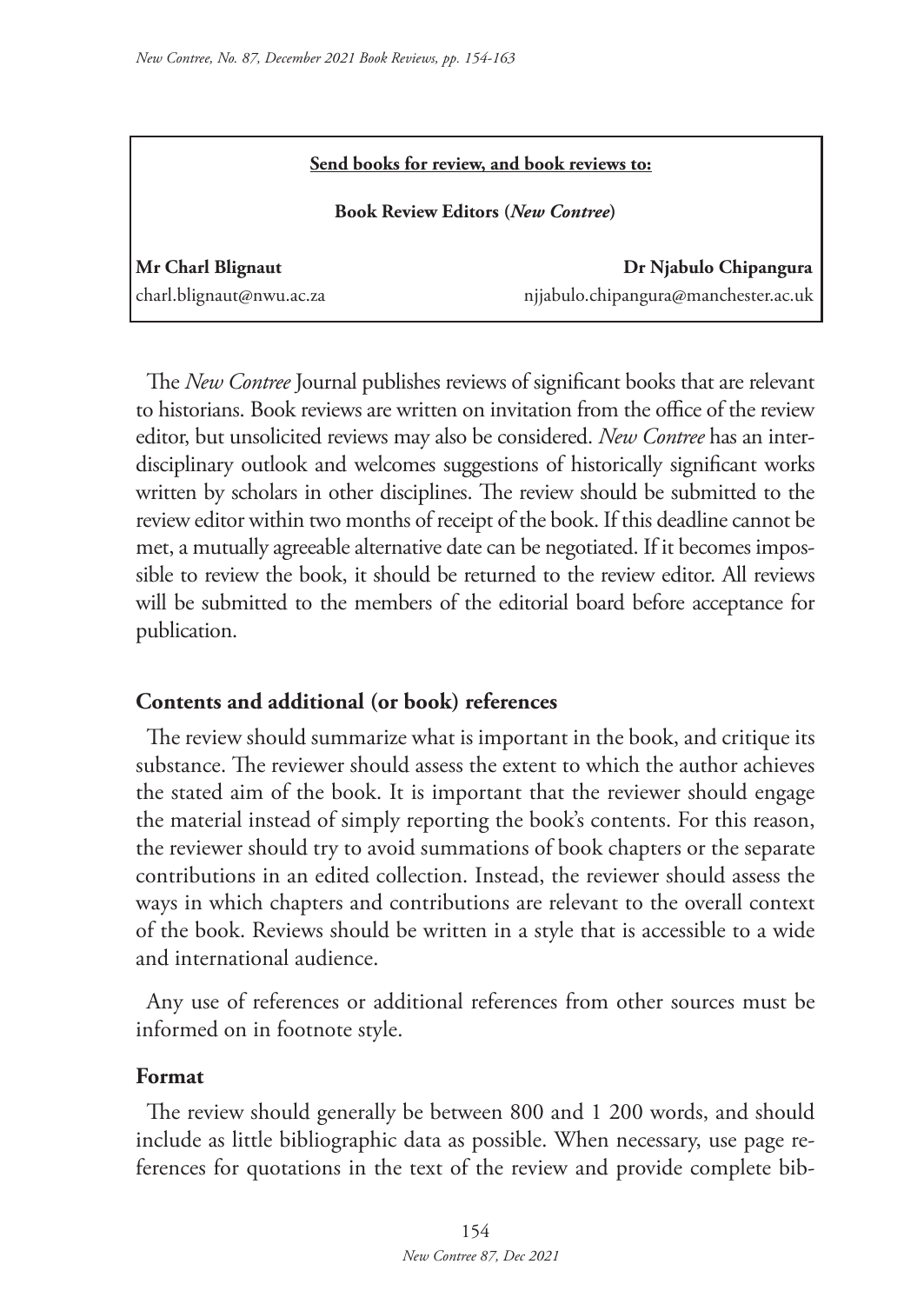| Send books for review, and book reviews to:<br><b>Book Review Editors (New Contree)</b> |                                      |
|-----------------------------------------------------------------------------------------|--------------------------------------|
|                                                                                         |                                      |
| charl.blignaut@nwu.ac.za                                                                | njjabulo.chipangura@manchester.ac.uk |

The *New Contree* Journal publishes reviews of significant books that are relevant to historians. Book reviews are written on invitation from the office of the review editor, but unsolicited reviews may also be considered. *New Contree* has an interdisciplinary outlook and welcomes suggestions of historically significant works written by scholars in other disciplines. The review should be submitted to the review editor within two months of receipt of the book. If this deadline cannot be met, a mutually agreeable alternative date can be negotiated. If it becomes impossible to review the book, it should be returned to the review editor. All reviews will be submitted to the members of the editorial board before acceptance for publication.

## **Contents and additional (or book) references**

The review should summarize what is important in the book, and critique its substance. The reviewer should assess the extent to which the author achieves the stated aim of the book. It is important that the reviewer should engage the material instead of simply reporting the book's contents. For this reason, the reviewer should try to avoid summations of book chapters or the separate contributions in an edited collection. Instead, the reviewer should assess the ways in which chapters and contributions are relevant to the overall context of the book. Reviews should be written in a style that is accessible to a wide and international audience.

Any use of references or additional references from other sources must be informed on in footnote style.

## **Format**

The review should generally be between 800 and 1 200 words, and should include as little bibliographic data as possible. When necessary, use page references for quotations in the text of the review and provide complete bib-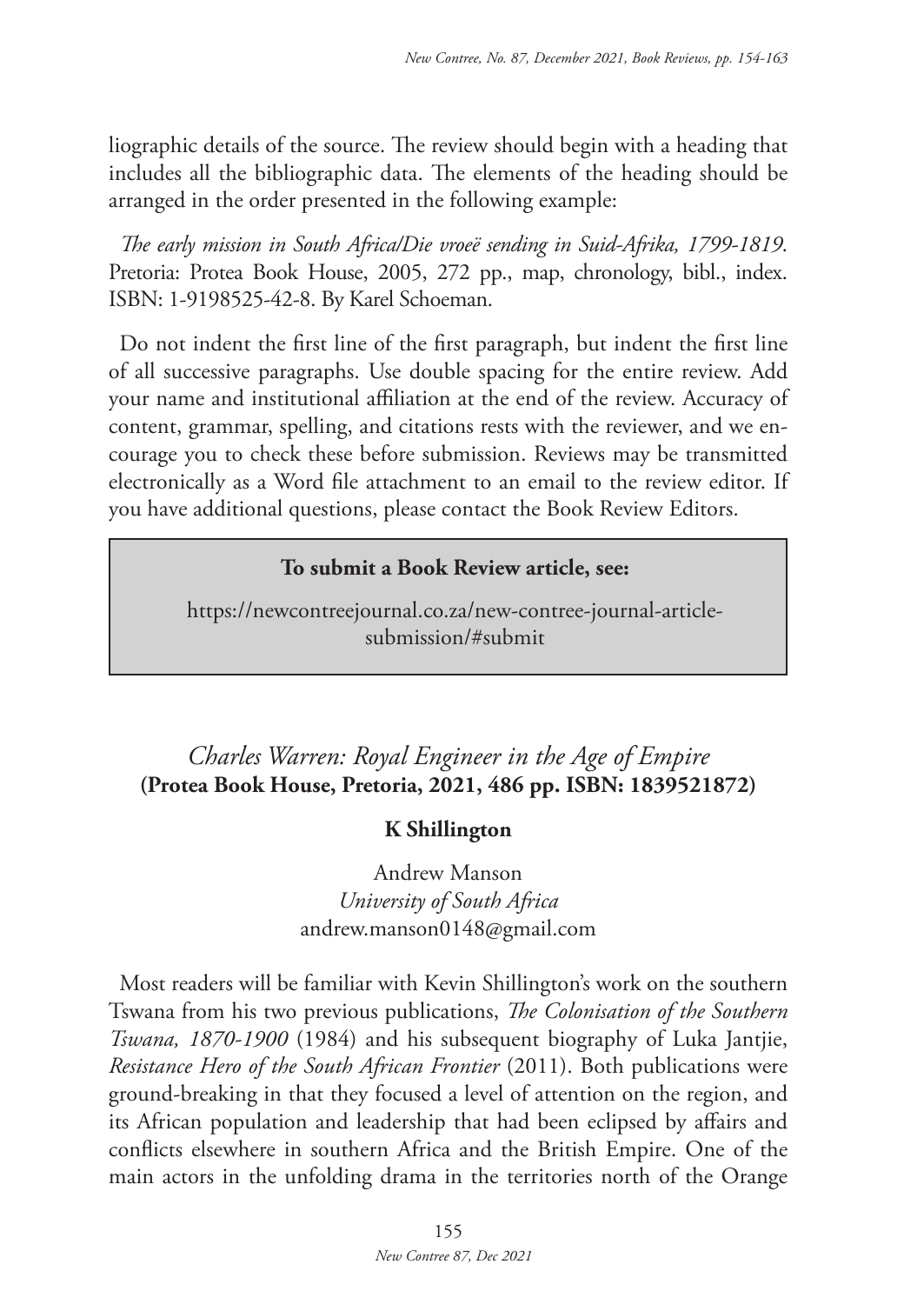liographic details of the source. The review should begin with a heading that includes all the bibliographic data. The elements of the heading should be arranged in the order presented in the following example:

*The early mission in South Africa/Die vroeë sending in Suid-Afrika, 1799-1819*. Pretoria: Protea Book House, 2005, 272 pp., map, chronology, bibl., index. ISBN: 1-9198525-42-8. By Karel Schoeman.

Do not indent the first line of the first paragraph, but indent the first line of all successive paragraphs. Use double spacing for the entire review. Add your name and institutional affiliation at the end of the review. Accuracy of content, grammar, spelling, and citations rests with the reviewer, and we encourage you to check these before submission. Reviews may be transmitted electronically as a Word file attachment to an email to the review editor. If you have additional questions, please contact the Book Review Editors.

## **To submit a Book Review article, see:**

https://newcontreejournal.co.za/new-contree-journal-articlesubmission/#submit

# *Charles Warren: Royal Engineer in the Age of Empire* **(Protea Book House, Pretoria, 2021, 486 pp. ISBN: 1839521872)**

## **K Shillington**

Andrew Manson *University of South Africa*  andrew.manson0148@gmail.com

Most readers will be familiar with Kevin Shillington's work on the southern Tswana from his two previous publications, *The Colonisation of the Southern Tswana, 1870-1900* (1984) and his subsequent biography of Luka Jantjie, *Resistance Hero of the South African Frontier* (2011). Both publications were ground-breaking in that they focused a level of attention on the region, and its African population and leadership that had been eclipsed by affairs and conflicts elsewhere in southern Africa and the British Empire. One of the main actors in the unfolding drama in the territories north of the Orange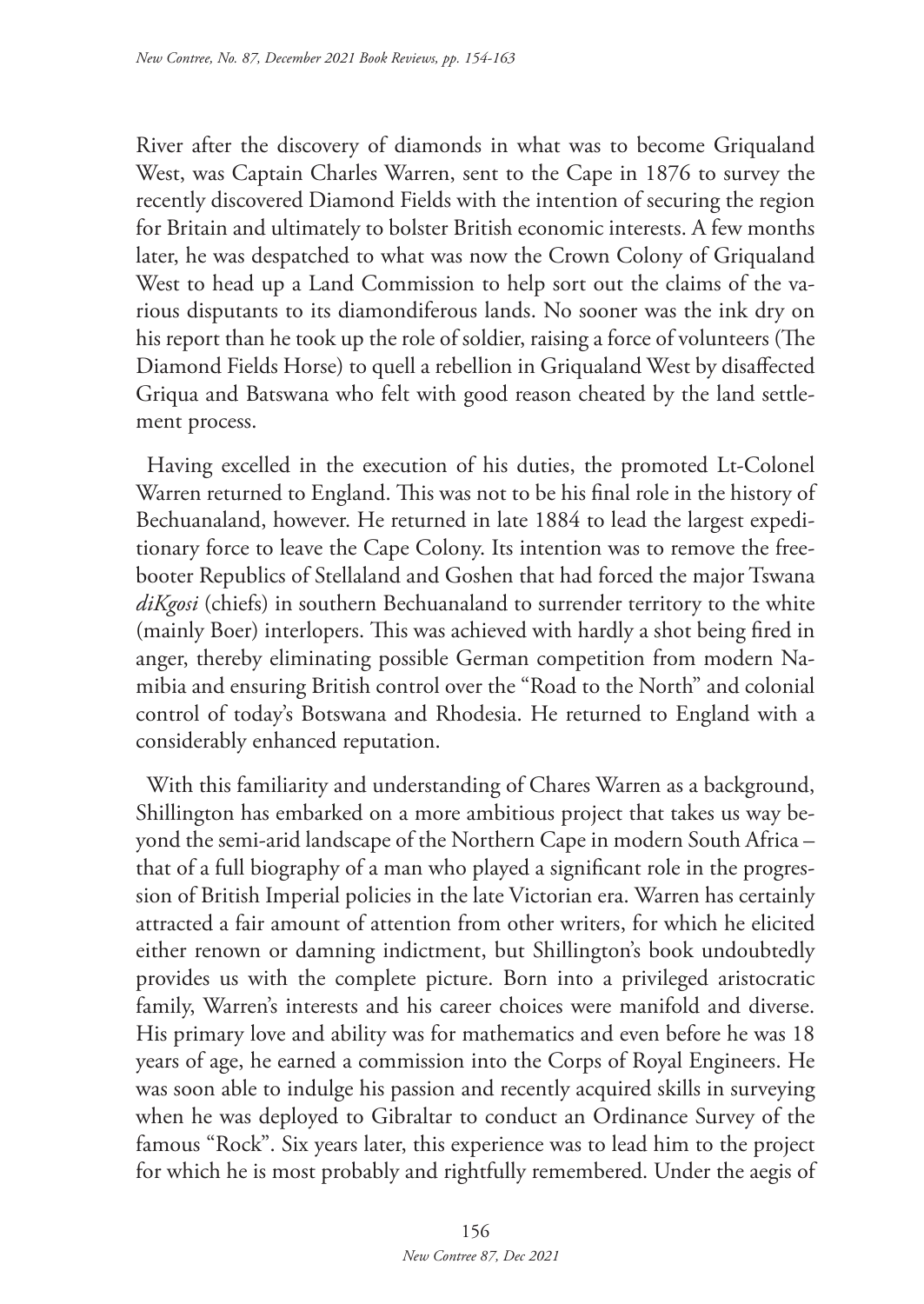River after the discovery of diamonds in what was to become Griqualand West, was Captain Charles Warren, sent to the Cape in 1876 to survey the recently discovered Diamond Fields with the intention of securing the region for Britain and ultimately to bolster British economic interests. A few months later, he was despatched to what was now the Crown Colony of Griqualand West to head up a Land Commission to help sort out the claims of the various disputants to its diamondiferous lands. No sooner was the ink dry on his report than he took up the role of soldier, raising a force of volunteers (The Diamond Fields Horse) to quell a rebellion in Griqualand West by disaffected Griqua and Batswana who felt with good reason cheated by the land settlement process.

Having excelled in the execution of his duties, the promoted Lt-Colonel Warren returned to England. This was not to be his final role in the history of Bechuanaland, however. He returned in late 1884 to lead the largest expeditionary force to leave the Cape Colony. Its intention was to remove the freebooter Republics of Stellaland and Goshen that had forced the major Tswana *diKgosi* (chiefs) in southern Bechuanaland to surrender territory to the white (mainly Boer) interlopers. This was achieved with hardly a shot being fired in anger, thereby eliminating possible German competition from modern Namibia and ensuring British control over the "Road to the North" and colonial control of today's Botswana and Rhodesia. He returned to England with a considerably enhanced reputation.

With this familiarity and understanding of Chares Warren as a background, Shillington has embarked on a more ambitious project that takes us way beyond the semi-arid landscape of the Northern Cape in modern South Africa – that of a full biography of a man who played a significant role in the progression of British Imperial policies in the late Victorian era. Warren has certainly attracted a fair amount of attention from other writers, for which he elicited either renown or damning indictment, but Shillington's book undoubtedly provides us with the complete picture. Born into a privileged aristocratic family, Warren's interests and his career choices were manifold and diverse. His primary love and ability was for mathematics and even before he was 18 years of age, he earned a commission into the Corps of Royal Engineers. He was soon able to indulge his passion and recently acquired skills in surveying when he was deployed to Gibraltar to conduct an Ordinance Survey of the famous "Rock". Six years later, this experience was to lead him to the project for which he is most probably and rightfully remembered. Under the aegis of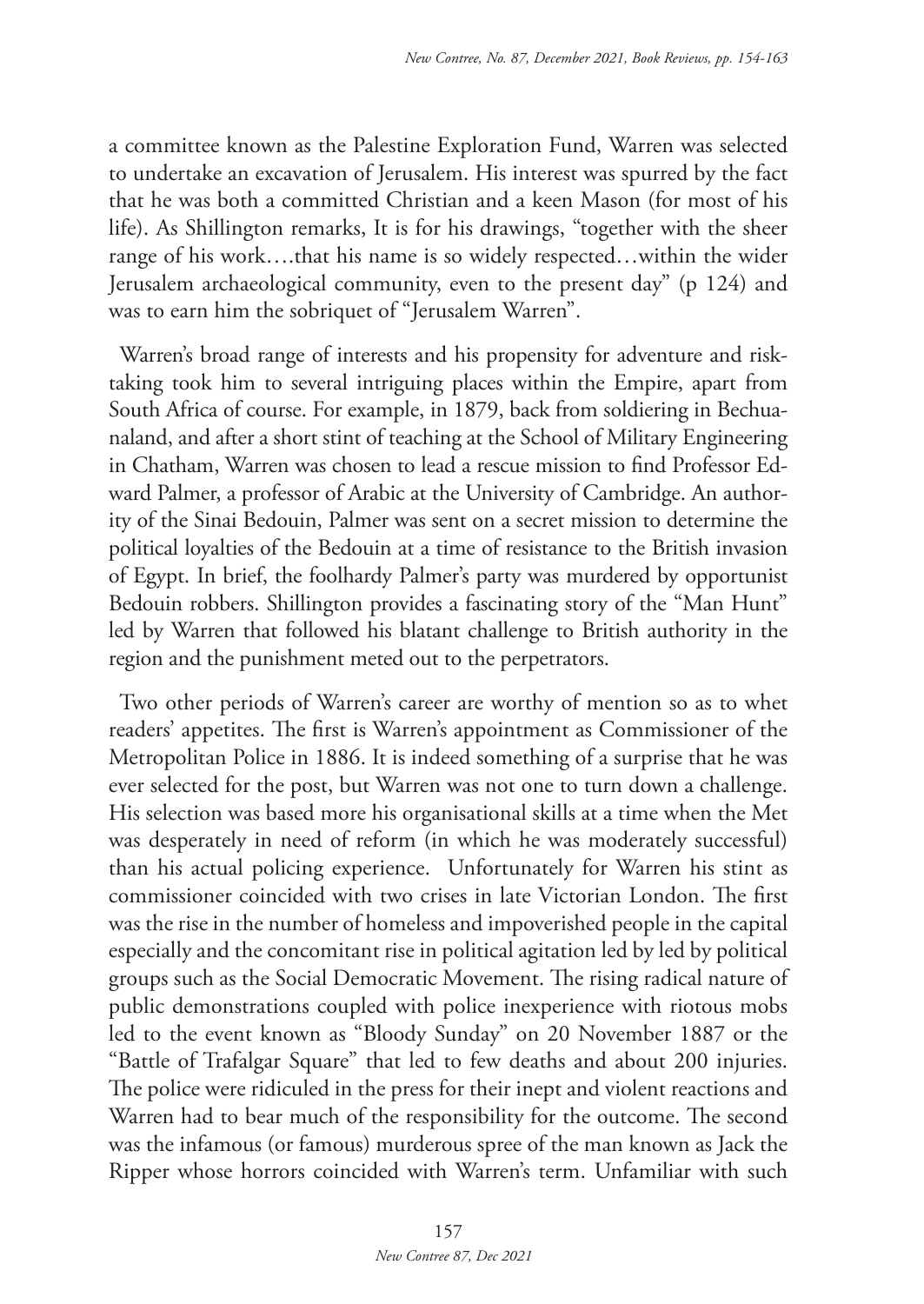a committee known as the Palestine Exploration Fund, Warren was selected to undertake an excavation of Jerusalem. His interest was spurred by the fact that he was both a committed Christian and a keen Mason (for most of his life). As Shillington remarks, It is for his drawings, "together with the sheer range of his work….that his name is so widely respected…within the wider Jerusalem archaeological community, even to the present day" (p 124) and was to earn him the sobriquet of "Jerusalem Warren".

Warren's broad range of interests and his propensity for adventure and risktaking took him to several intriguing places within the Empire, apart from South Africa of course. For example, in 1879, back from soldiering in Bechuanaland, and after a short stint of teaching at the School of Military Engineering in Chatham, Warren was chosen to lead a rescue mission to find Professor Edward Palmer, a professor of Arabic at the University of Cambridge. An authority of the Sinai Bedouin, Palmer was sent on a secret mission to determine the political loyalties of the Bedouin at a time of resistance to the British invasion of Egypt. In brief, the foolhardy Palmer's party was murdered by opportunist Bedouin robbers. Shillington provides a fascinating story of the "Man Hunt" led by Warren that followed his blatant challenge to British authority in the region and the punishment meted out to the perpetrators.

Two other periods of Warren's career are worthy of mention so as to whet readers' appetites. The first is Warren's appointment as Commissioner of the Metropolitan Police in 1886. It is indeed something of a surprise that he was ever selected for the post, but Warren was not one to turn down a challenge. His selection was based more his organisational skills at a time when the Met was desperately in need of reform (in which he was moderately successful) than his actual policing experience. Unfortunately for Warren his stint as commissioner coincided with two crises in late Victorian London. The first was the rise in the number of homeless and impoverished people in the capital especially and the concomitant rise in political agitation led by led by political groups such as the Social Democratic Movement. The rising radical nature of public demonstrations coupled with police inexperience with riotous mobs led to the event known as "Bloody Sunday" on 20 November 1887 or the "Battle of Trafalgar Square" that led to few deaths and about 200 injuries. The police were ridiculed in the press for their inept and violent reactions and Warren had to bear much of the responsibility for the outcome. The second was the infamous (or famous) murderous spree of the man known as Jack the Ripper whose horrors coincided with Warren's term. Unfamiliar with such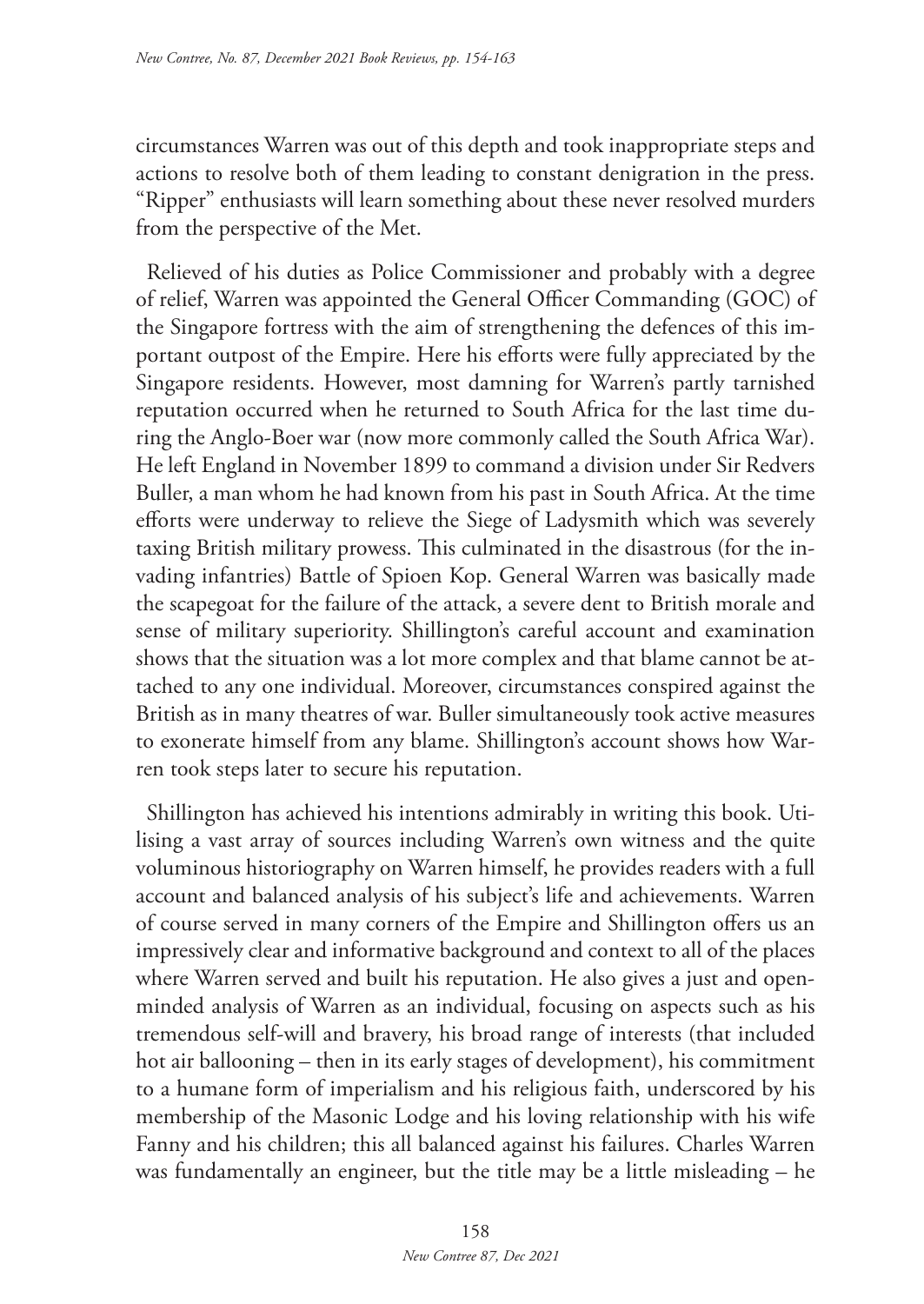circumstances Warren was out of this depth and took inappropriate steps and actions to resolve both of them leading to constant denigration in the press. "Ripper" enthusiasts will learn something about these never resolved murders from the perspective of the Met.

Relieved of his duties as Police Commissioner and probably with a degree of relief, Warren was appointed the General Officer Commanding (GOC) of the Singapore fortress with the aim of strengthening the defences of this important outpost of the Empire. Here his efforts were fully appreciated by the Singapore residents. However, most damning for Warren's partly tarnished reputation occurred when he returned to South Africa for the last time during the Anglo-Boer war (now more commonly called the South Africa War). He left England in November 1899 to command a division under Sir Redvers Buller, a man whom he had known from his past in South Africa. At the time efforts were underway to relieve the Siege of Ladysmith which was severely taxing British military prowess. This culminated in the disastrous (for the invading infantries) Battle of Spioen Kop. General Warren was basically made the scapegoat for the failure of the attack, a severe dent to British morale and sense of military superiority. Shillington's careful account and examination shows that the situation was a lot more complex and that blame cannot be attached to any one individual. Moreover, circumstances conspired against the British as in many theatres of war. Buller simultaneously took active measures to exonerate himself from any blame. Shillington's account shows how Warren took steps later to secure his reputation.

Shillington has achieved his intentions admirably in writing this book. Utilising a vast array of sources including Warren's own witness and the quite voluminous historiography on Warren himself, he provides readers with a full account and balanced analysis of his subject's life and achievements. Warren of course served in many corners of the Empire and Shillington offers us an impressively clear and informative background and context to all of the places where Warren served and built his reputation. He also gives a just and openminded analysis of Warren as an individual, focusing on aspects such as his tremendous self-will and bravery, his broad range of interests (that included hot air ballooning – then in its early stages of development), his commitment to a humane form of imperialism and his religious faith, underscored by his membership of the Masonic Lodge and his loving relationship with his wife Fanny and his children; this all balanced against his failures. Charles Warren was fundamentally an engineer, but the title may be a little misleading – he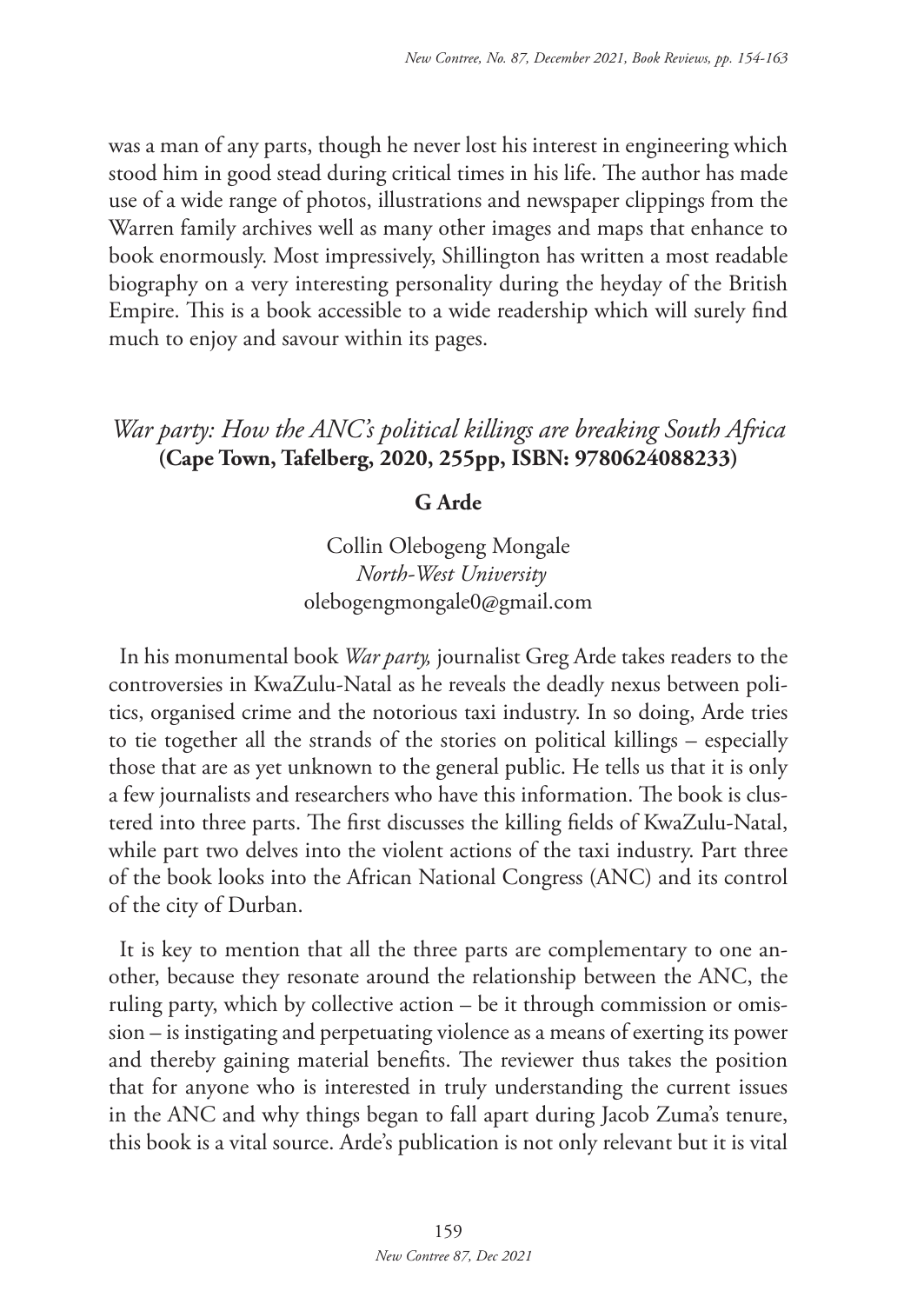was a man of any parts, though he never lost his interest in engineering which stood him in good stead during critical times in his life. The author has made use of a wide range of photos, illustrations and newspaper clippings from the Warren family archives well as many other images and maps that enhance to book enormously. Most impressively, Shillington has written a most readable biography on a very interesting personality during the heyday of the British Empire. This is a book accessible to a wide readership which will surely find much to enjoy and savour within its pages.

# *War party: How the ANC's political killings are breaking South Africa* **(Cape Town, Tafelberg, 2020, 255pp, ISBN: 9780624088233)**

#### **G Arde**

Collin Olebogeng Mongale *North-West University* olebogengmongale0@gmail.com

In his monumental book *War party,* journalist Greg Arde takes readers to the controversies in KwaZulu-Natal as he reveals the deadly nexus between politics, organised crime and the notorious taxi industry. In so doing, Arde tries to tie together all the strands of the stories on political killings – especially those that are as yet unknown to the general public. He tells us that it is only a few journalists and researchers who have this information. The book is clustered into three parts. The first discusses the killing fields of KwaZulu-Natal, while part two delves into the violent actions of the taxi industry. Part three of the book looks into the African National Congress (ANC) and its control of the city of Durban.

It is key to mention that all the three parts are complementary to one another, because they resonate around the relationship between the ANC, the ruling party, which by collective action – be it through commission or omission – is instigating and perpetuating violence as a means of exerting its power and thereby gaining material benefits. The reviewer thus takes the position that for anyone who is interested in truly understanding the current issues in the ANC and why things began to fall apart during Jacob Zuma's tenure, this book is a vital source. Arde's publication is not only relevant but it is vital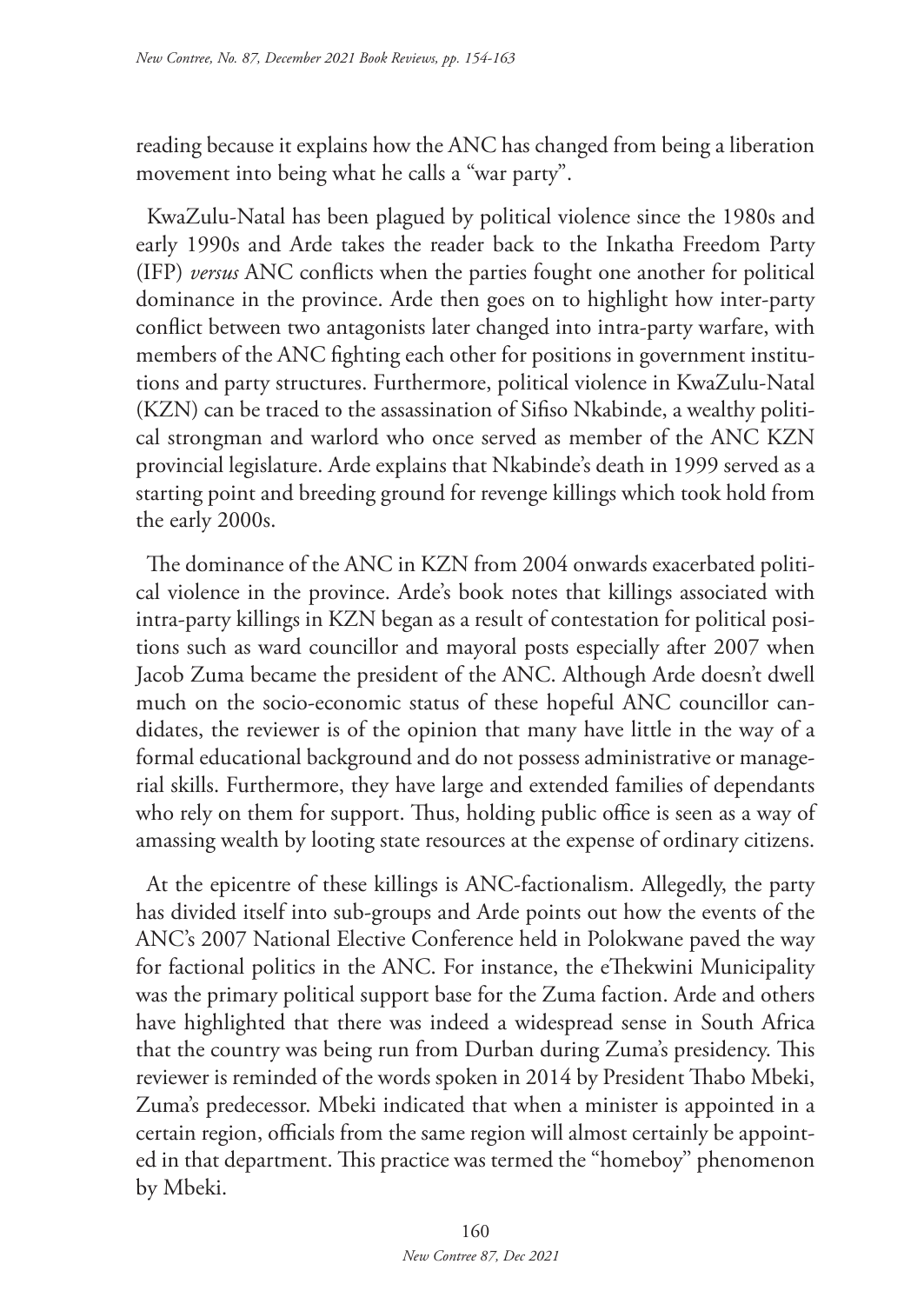reading because it explains how the ANC has changed from being a liberation movement into being what he calls a "war party".

KwaZulu-Natal has been plagued by political violence since the 1980s and early 1990s and Arde takes the reader back to the Inkatha Freedom Party (IFP) *versus* ANC conflicts when the parties fought one another for political dominance in the province. Arde then goes on to highlight how inter-party conflict between two antagonists later changed into intra-party warfare, with members of the ANC fighting each other for positions in government institutions and party structures. Furthermore, political violence in KwaZulu-Natal (KZN) can be traced to the assassination of Sifiso Nkabinde, a wealthy political strongman and warlord who once served as member of the ANC KZN provincial legislature. Arde explains that Nkabinde's death in 1999 served as a starting point and breeding ground for revenge killings which took hold from the early 2000s.

The dominance of the ANC in KZN from 2004 onwards exacerbated political violence in the province. Arde's book notes that killings associated with intra-party killings in KZN began as a result of contestation for political positions such as ward councillor and mayoral posts especially after 2007 when Jacob Zuma became the president of the ANC. Although Arde doesn't dwell much on the socio-economic status of these hopeful ANC councillor candidates, the reviewer is of the opinion that many have little in the way of a formal educational background and do not possess administrative or managerial skills. Furthermore, they have large and extended families of dependants who rely on them for support. Thus, holding public office is seen as a way of amassing wealth by looting state resources at the expense of ordinary citizens.

At the epicentre of these killings is ANC-factionalism. Allegedly, the party has divided itself into sub-groups and Arde points out how the events of the ANC's 2007 National Elective Conference held in Polokwane paved the way for factional politics in the ANC. For instance, the eThekwini Municipality was the primary political support base for the Zuma faction. Arde and others have highlighted that there was indeed a widespread sense in South Africa that the country was being run from Durban during Zuma's presidency. This reviewer is reminded of the words spoken in 2014 by President Thabo Mbeki, Zuma's predecessor. Mbeki indicated that when a minister is appointed in a certain region, officials from the same region will almost certainly be appointed in that department. This practice was termed the "homeboy'' phenomenon by Mbeki.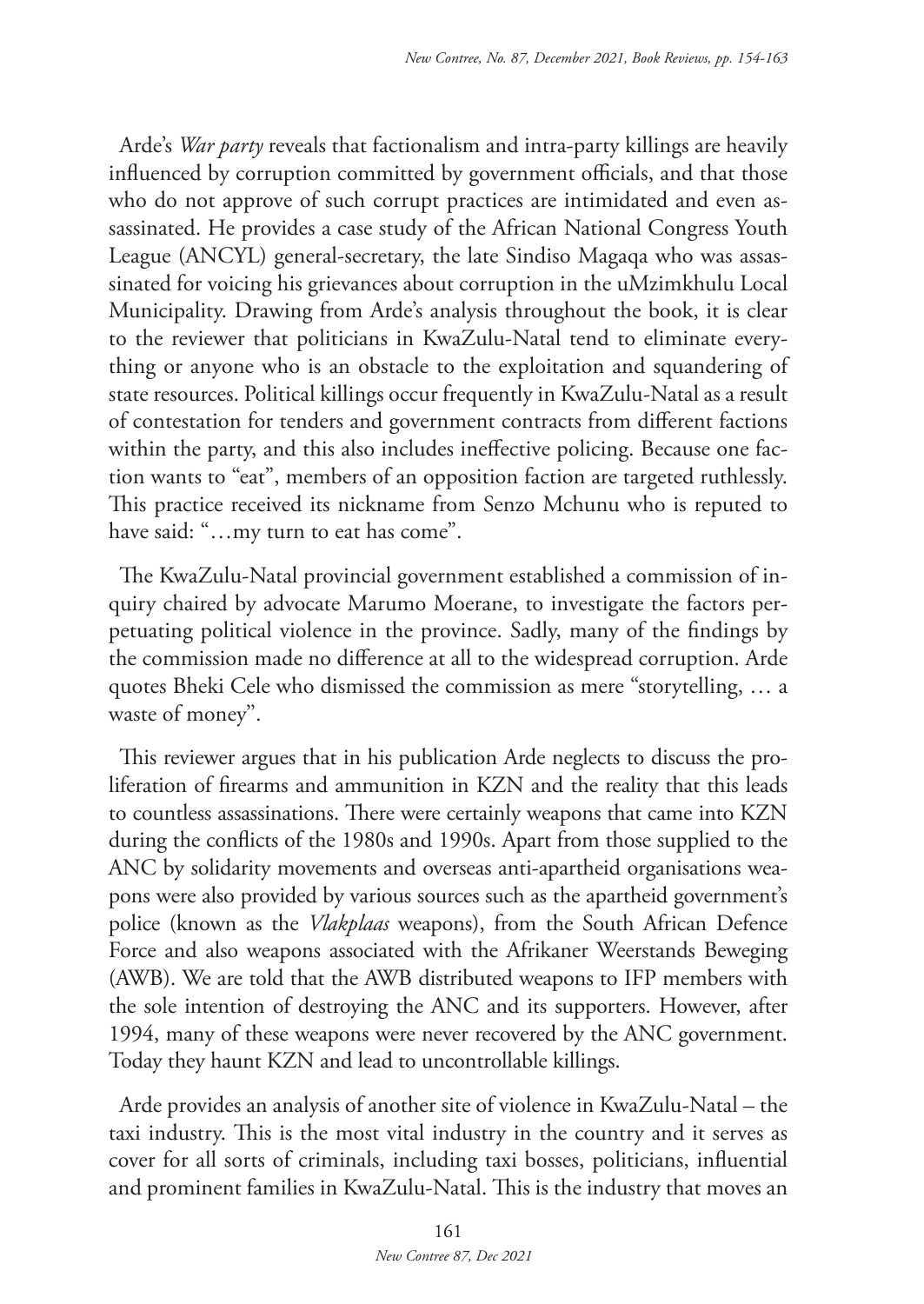Arde's *War party* reveals that factionalism and intra-party killings are heavily influenced by corruption committed by government officials, and that those who do not approve of such corrupt practices are intimidated and even assassinated. He provides a case study of the African National Congress Youth League (ANCYL) general-secretary, the late Sindiso Magaqa who was assassinated for voicing his grievances about corruption in the uMzimkhulu Local Municipality. Drawing from Arde's analysis throughout the book, it is clear to the reviewer that politicians in KwaZulu-Natal tend to eliminate everything or anyone who is an obstacle to the exploitation and squandering of state resources. Political killings occur frequently in KwaZulu-Natal as a result of contestation for tenders and government contracts from different factions within the party, and this also includes ineffective policing. Because one faction wants to "eat", members of an opposition faction are targeted ruthlessly. This practice received its nickname from Senzo Mchunu who is reputed to have said: "...my turn to eat has come".

The KwaZulu-Natal provincial government established a commission of inquiry chaired by advocate Marumo Moerane, to investigate the factors perpetuating political violence in the province. Sadly, many of the findings by the commission made no difference at all to the widespread corruption. Arde quotes Bheki Cele who dismissed the commission as mere "storytelling, … a waste of money''.

This reviewer argues that in his publication Arde neglects to discuss the proliferation of firearms and ammunition in KZN and the reality that this leads to countless assassinations. There were certainly weapons that came into KZN during the conflicts of the 1980s and 1990s. Apart from those supplied to the ANC by solidarity movements and overseas anti-apartheid organisations weapons were also provided by various sources such as the apartheid government's police (known as the *Vlakplaas* weapons), from the South African Defence Force and also weapons associated with the Afrikaner Weerstands Beweging (AWB). We are told that the AWB distributed weapons to IFP members with the sole intention of destroying the ANC and its supporters. However, after 1994, many of these weapons were never recovered by the ANC government. Today they haunt KZN and lead to uncontrollable killings.

Arde provides an analysis of another site of violence in KwaZulu-Natal – the taxi industry. This is the most vital industry in the country and it serves as cover for all sorts of criminals, including taxi bosses, politicians, influential and prominent families in KwaZulu-Natal. This is the industry that moves an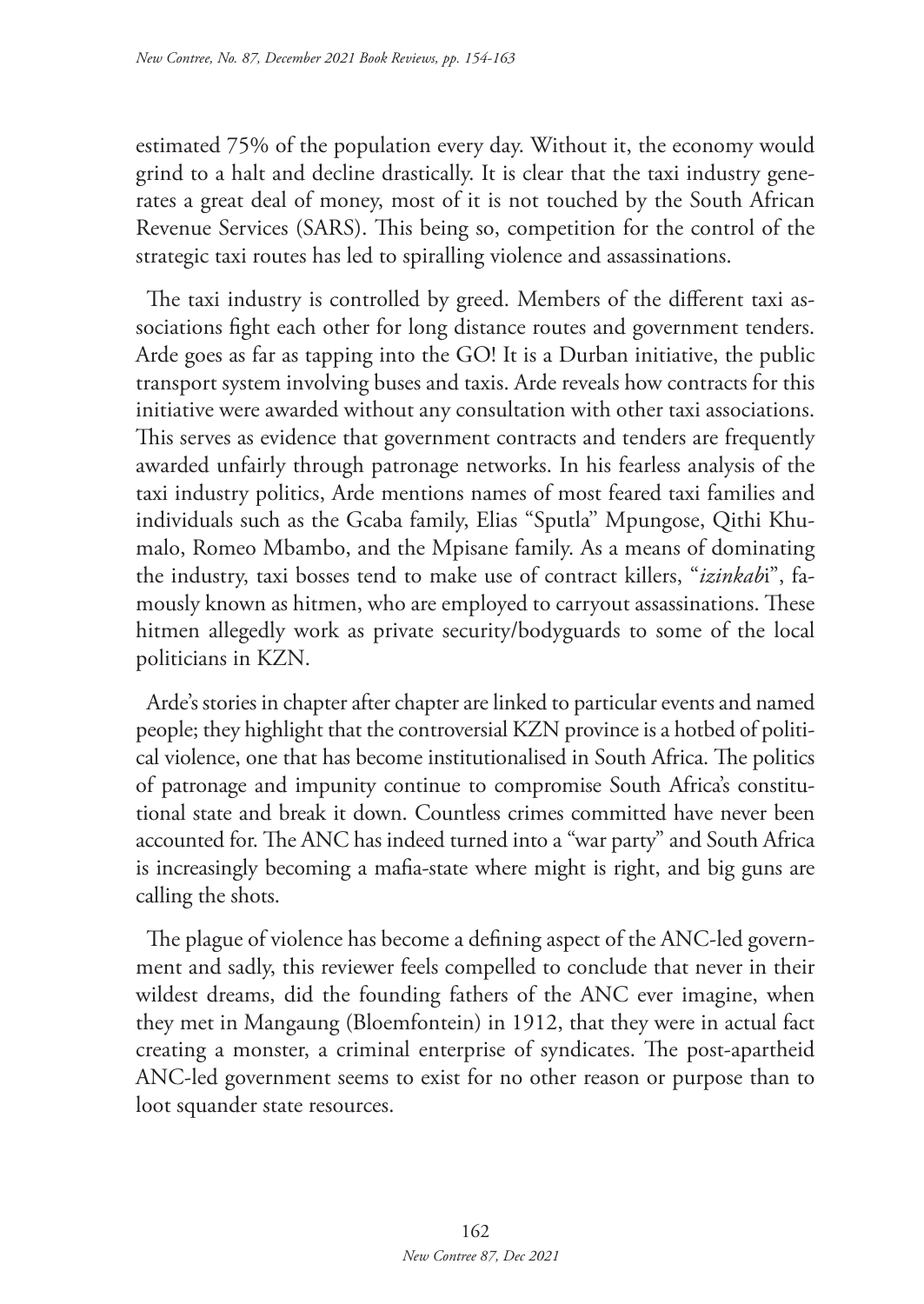estimated 75% of the population every day. Without it, the economy would grind to a halt and decline drastically. It is clear that the taxi industry generates a great deal of money, most of it is not touched by the South African Revenue Services (SARS). This being so, competition for the control of the strategic taxi routes has led to spiralling violence and assassinations.

The taxi industry is controlled by greed. Members of the different taxi associations fight each other for long distance routes and government tenders. Arde goes as far as tapping into the GO! It is a Durban initiative, the public transport system involving buses and taxis. Arde reveals how contracts for this initiative were awarded without any consultation with other taxi associations. This serves as evidence that government contracts and tenders are frequently awarded unfairly through patronage networks. In his fearless analysis of the taxi industry politics, Arde mentions names of most feared taxi families and individuals such as the Gcaba family, Elias "Sputla'' Mpungose, Qithi Khumalo, Romeo Mbambo, and the Mpisane family. As a means of dominating the industry, taxi bosses tend to make use of contract killers, "*izinkab*i", famously known as hitmen, who are employed to carryout assassinations. These hitmen allegedly work as private security/bodyguards to some of the local politicians in KZN.

Arde's stories in chapter after chapter are linked to particular events and named people; they highlight that the controversial KZN province is a hotbed of political violence, one that has become institutionalised in South Africa. The politics of patronage and impunity continue to compromise South Africa's constitutional state and break it down. Countless crimes committed have never been accounted for. The ANC has indeed turned into a "war party" and South Africa is increasingly becoming a mafia-state where might is right, and big guns are calling the shots.

The plague of violence has become a defining aspect of the ANC-led government and sadly, this reviewer feels compelled to conclude that never in their wildest dreams, did the founding fathers of the ANC ever imagine, when they met in Mangaung (Bloemfontein) in 1912, that they were in actual fact creating a monster, a criminal enterprise of syndicates. The post-apartheid ANC-led government seems to exist for no other reason or purpose than to loot squander state resources.